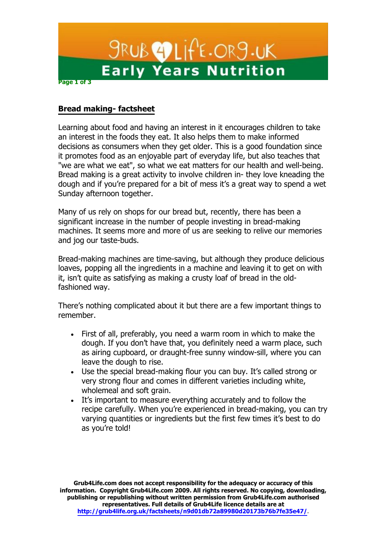

## **Bread making- factsheet**

Learning about food and having an interest in it encourages children to take an interest in the foods they eat. It also helps them to make informed decisions as consumers when they get older. This is a good foundation since it promotes food as an enjoyable part of everyday life, but also teaches that "we are what we eat", so what we eat matters for our health and well-being. Bread making is a great activity to involve children in- they love kneading the dough and if you're prepared for a bit of mess it's a great way to spend a wet Sunday afternoon together.

Many of us rely on shops for our bread but, recently, there has been a significant increase in the number of people investing in bread-making machines. It seems more and more of us are seeking to relive our memories and jog our taste-buds.

Bread-making machines are time-saving, but although they produce delicious loaves, popping all the ingredients in a machine and leaving it to get on with it, isn't quite as satisfying as making a crusty loaf of bread in the oldfashioned way.

There's nothing complicated about it but there are a few important things to remember.

- First of all, preferably, you need a warm room in which to make the dough. If you don't have that, you definitely need a warm place, such as airing cupboard, or draught-free sunny window-sill, where you can leave the dough to rise.
- $\bullet$  Use the special bread-making flour you can buy. It's called strong or very strong flour and comes in different varieties including white, wholemeal and soft grain.
- It's important to measure everything accurately and to follow the recipe carefully. When you're experienced in bread-making, you can try varying quantities or ingredients but the first few times it's best to do as you're told!

**Grub4Life.com does not accept responsibility for the adequacy or accuracy of this information. Copyright Grub4Life.com 2009. All rights reserved. No copying, downloading, publishing or republishing without written permission from Grub4Life.com authorised representatives. Full details of Grub4Life licence details are at [http://grub4life.org.uk/factsheets/n9d01d](http://grub4life.org.uk/factsheets/n9d01)b72a89980d20173b76b7fe35e47/.**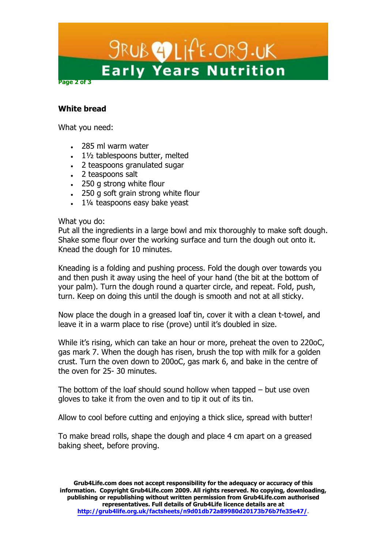

## **White bread**

What you need:

- 285 ml warm water
- $\bullet$  11/2 tablespoons butter, melted
- 2 teaspoons granulated sugar
- 2 teaspoons salt
- 250 g strong white flour
- 250 g soft grain strong white flour
- 11/4 teaspoons easy bake yeast

#### What you do:

Put all the ingredients in a large bowl and mix thoroughly to make soft dough. Shake some flour over the working surface and turn the dough out onto it. Knead the dough for 10 minutes.

Kneading is a folding and pushing process. Fold the dough over towards you and then push it away using the heel of your hand (the bit at the bottom of your palm). Turn the dough round a quarter circle, and repeat. Fold, push, turn. Keep on doing this until the dough is smooth and not at all sticky.

Now place the dough in a greased loaf tin, cover it with a clean t-towel, and leave it in a warm place to rise (prove) until it's doubled in size.

While it's rising, which can take an hour or more, preheat the oven to 220oC, gas mark 7. When the dough has risen, brush the top with milk for a golden crust. Turn the oven down to 200oC, gas mark 6, and bake in the centre of the oven for 25- 30 minutes.

The bottom of the loaf should sound hollow when tapped  $-$  but use oven gloves to take it from the oven and to tip it out of its tin.

Allow to cool before cutting and enjoying a thick slice, spread with butter!

To make bread rolls, shape the dough and place 4 cm apart on a greased baking sheet, before proving.

**Grub4Life.com does not accept responsibility for the adequacy or accuracy of this information. Copyright Grub4Life.com 2009. All rights reserved. No copying, downloading, publishing or republishing without written permission from Grub4Life.com authorised representatives. Full details of Grub4Life licence details are at [http://grub4life.org.uk/factsheets/n9d01d](http://grub4life.org.uk/factsheets/n9d01)b72a89980d20173b76b7fe35e47/.**